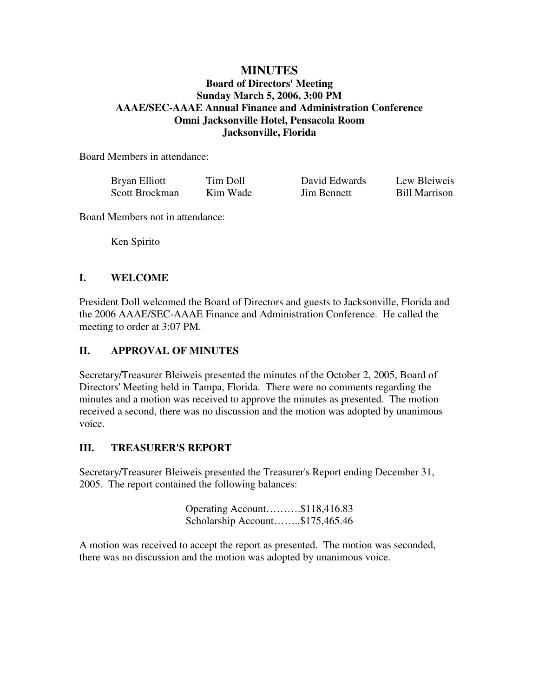## **MINUTES**

### **Board of Directors' Meeting Sunday March 5, 2006, 3:00 PM AAAE/SEC-AAAE Annual Finance and Administration Conference Omni Jacksonville Hotel, Pensacola Room Jacksonville, Florida**

Board Members in attendance:

| Bryan Elliott  | Tim Doll | David Edwards      | Lew Bleiweis         |
|----------------|----------|--------------------|----------------------|
| Scott Brockman | Kim Wade | <b>Jim Bennett</b> | <b>Bill Marrison</b> |

Board Members not in attendance:

Ken Spirito

### **I. WELCOME**

President Doll welcomed the Board of Directors and guests to Jacksonville, Florida and the 2006 AAAE/SEC-AAAE Finance and Administration Conference. He called the meeting to order at 3:07 PM.

### **II. APPROVAL OF MINUTES**

Secretary/Treasurer Bleiweis presented the minutes of the October 2, 2005, Board of Directors' Meeting held in Tampa, Florida. There were no comments regarding the minutes and a motion was received to approve the minutes as presented. The motion received a second, there was no discussion and the motion was adopted by unanimous voice.

#### **III. TREASURER'S REPORT**

Secretary/Treasurer Bleiweis presented the Treasurer's Report ending December 31, 2005. The report contained the following balances:

> Operating Account……….\$118,416.83 Scholarship Account……..\$175,465.46

A motion was received to accept the report as presented. The motion was seconded, there was no discussion and the motion was adopted by unanimous voice.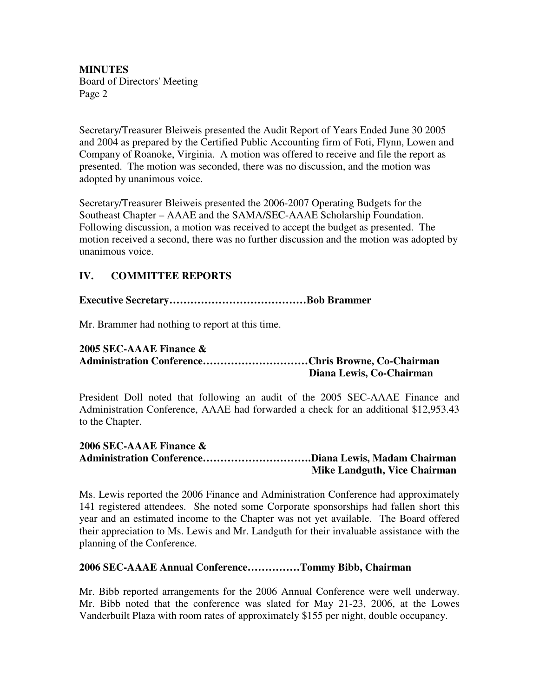Secretary/Treasurer Bleiweis presented the Audit Report of Years Ended June 30 2005 and 2004 as prepared by the Certified Public Accounting firm of Foti, Flynn, Lowen and Company of Roanoke, Virginia. A motion was offered to receive and file the report as presented. The motion was seconded, there was no discussion, and the motion was adopted by unanimous voice.

Secretary/Treasurer Bleiweis presented the 2006-2007 Operating Budgets for the Southeast Chapter – AAAE and the SAMA/SEC-AAAE Scholarship Foundation. Following discussion, a motion was received to accept the budget as presented. The motion received a second, there was no further discussion and the motion was adopted by unanimous voice.

## **IV. COMMITTEE REPORTS**

**Executive Secretary…………………………………Bob Brammer**

Mr. Brammer had nothing to report at this time.

#### **2005 SEC-AAAE Finance & Administration Conference…………………………Chris Browne, Co-Chairman Diana Lewis, Co-Chairman**

President Doll noted that following an audit of the 2005 SEC-AAAE Finance and Administration Conference, AAAE had forwarded a check for an additional \$12,953.43 to the Chapter.

#### **2006 SEC-AAAE Finance & Administration Conference………………………….Diana Lewis, Madam Chairman Mike Landguth, Vice Chairman**

Ms. Lewis reported the 2006 Finance and Administration Conference had approximately 141 registered attendees. She noted some Corporate sponsorships had fallen short this year and an estimated income to the Chapter was not yet available. The Board offered their appreciation to Ms. Lewis and Mr. Landguth for their invaluable assistance with the planning of the Conference.

#### **2006 SEC-AAAE Annual Conference……………Tommy Bibb, Chairman**

Mr. Bibb reported arrangements for the 2006 Annual Conference were well underway. Mr. Bibb noted that the conference was slated for May 21-23, 2006, at the Lowes Vanderbuilt Plaza with room rates of approximately \$155 per night, double occupancy.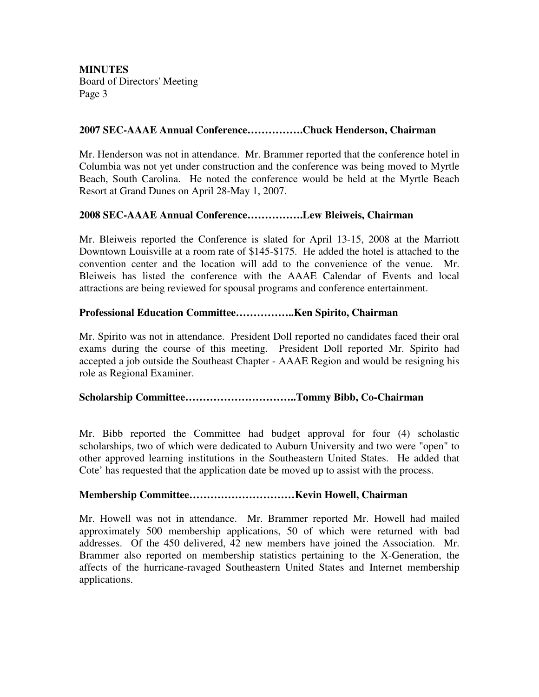### **2007 SEC-AAAE Annual Conference…………….Chuck Henderson, Chairman**

Mr. Henderson was not in attendance. Mr. Brammer reported that the conference hotel in Columbia was not yet under construction and the conference was being moved to Myrtle Beach, South Carolina. He noted the conference would be held at the Myrtle Beach Resort at Grand Dunes on April 28-May 1, 2007.

### **2008 SEC-AAAE Annual Conference…………….Lew Bleiweis, Chairman**

Mr. Bleiweis reported the Conference is slated for April 13-15, 2008 at the Marriott Downtown Louisville at a room rate of \$145-\$175. He added the hotel is attached to the convention center and the location will add to the convenience of the venue. Mr. Bleiweis has listed the conference with the AAAE Calendar of Events and local attractions are being reviewed for spousal programs and conference entertainment.

### **Professional Education Committee……………..Ken Spirito, Chairman**

Mr. Spirito was not in attendance. President Doll reported no candidates faced their oral exams during the course of this meeting. President Doll reported Mr. Spirito had accepted a job outside the Southeast Chapter - AAAE Region and would be resigning his role as Regional Examiner.

### **Scholarship Committee…………………………..Tommy Bibb, Co-Chairman**

Mr. Bibb reported the Committee had budget approval for four (4) scholastic scholarships, two of which were dedicated to Auburn University and two were "open" to other approved learning institutions in the Southeastern United States. He added that Cote' has requested that the application date be moved up to assist with the process.

#### **Membership Committee…………………………Kevin Howell, Chairman**

Mr. Howell was not in attendance. Mr. Brammer reported Mr. Howell had mailed approximately 500 membership applications, 50 of which were returned with bad addresses. Of the 450 delivered, 42 new members have joined the Association. Mr. Brammer also reported on membership statistics pertaining to the X-Generation, the affects of the hurricane-ravaged Southeastern United States and Internet membership applications.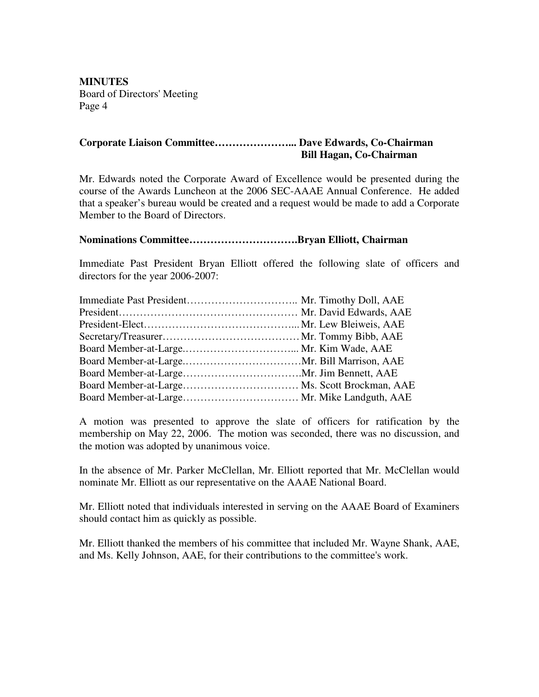# **Corporate Liaison Committee…………………... Dave Edwards, Co-Chairman Bill Hagan, Co-Chairman**

Mr. Edwards noted the Corporate Award of Excellence would be presented during the course of the Awards Luncheon at the 2006 SEC-AAAE Annual Conference. He added that a speaker's bureau would be created and a request would be made to add a Corporate Member to the Board of Directors.

#### **Nominations Committee………………………….Bryan Elliott, Chairman**

Immediate Past President Bryan Elliott offered the following slate of officers and directors for the year 2006-2007:

A motion was presented to approve the slate of officers for ratification by the membership on May 22, 2006. The motion was seconded, there was no discussion, and the motion was adopted by unanimous voice.

In the absence of Mr. Parker McClellan, Mr. Elliott reported that Mr. McClellan would nominate Mr. Elliott as our representative on the AAAE National Board.

Mr. Elliott noted that individuals interested in serving on the AAAE Board of Examiners should contact him as quickly as possible.

Mr. Elliott thanked the members of his committee that included Mr. Wayne Shank, AAE, and Ms. Kelly Johnson, AAE, for their contributions to the committee's work.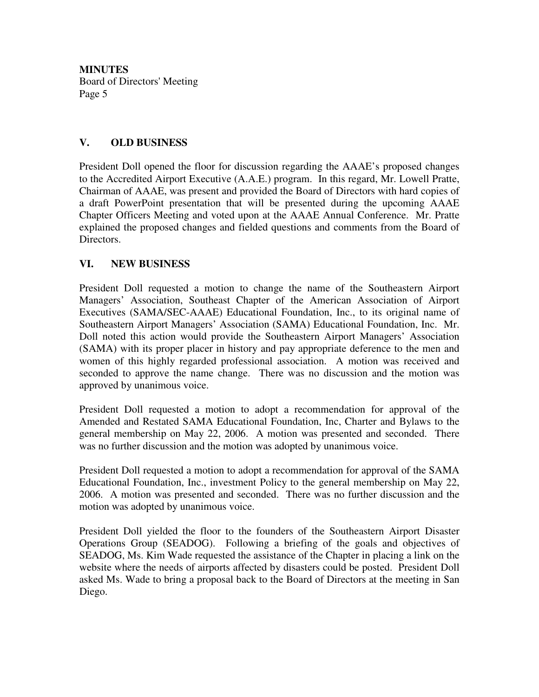## **V. OLD BUSINESS**

President Doll opened the floor for discussion regarding the AAAE's proposed changes to the Accredited Airport Executive (A.A.E.) program. In this regard, Mr. Lowell Pratte, Chairman of AAAE, was present and provided the Board of Directors with hard copies of a draft PowerPoint presentation that will be presented during the upcoming AAAE Chapter Officers Meeting and voted upon at the AAAE Annual Conference. Mr. Pratte explained the proposed changes and fielded questions and comments from the Board of Directors.

## **VI. NEW BUSINESS**

President Doll requested a motion to change the name of the Southeastern Airport Managers' Association, Southeast Chapter of the American Association of Airport Executives (SAMA/SEC-AAAE) Educational Foundation, Inc., to its original name of Southeastern Airport Managers' Association (SAMA) Educational Foundation, Inc. Mr. Doll noted this action would provide the Southeastern Airport Managers' Association (SAMA) with its proper placer in history and pay appropriate deference to the men and women of this highly regarded professional association. A motion was received and seconded to approve the name change. There was no discussion and the motion was approved by unanimous voice.

President Doll requested a motion to adopt a recommendation for approval of the Amended and Restated SAMA Educational Foundation, Inc, Charter and Bylaws to the general membership on May 22, 2006. A motion was presented and seconded. There was no further discussion and the motion was adopted by unanimous voice.

President Doll requested a motion to adopt a recommendation for approval of the SAMA Educational Foundation, Inc., investment Policy to the general membership on May 22, 2006. A motion was presented and seconded. There was no further discussion and the motion was adopted by unanimous voice.

President Doll yielded the floor to the founders of the Southeastern Airport Disaster Operations Group (SEADOG). Following a briefing of the goals and objectives of SEADOG, Ms. Kim Wade requested the assistance of the Chapter in placing a link on the website where the needs of airports affected by disasters could be posted. President Doll asked Ms. Wade to bring a proposal back to the Board of Directors at the meeting in San Diego.